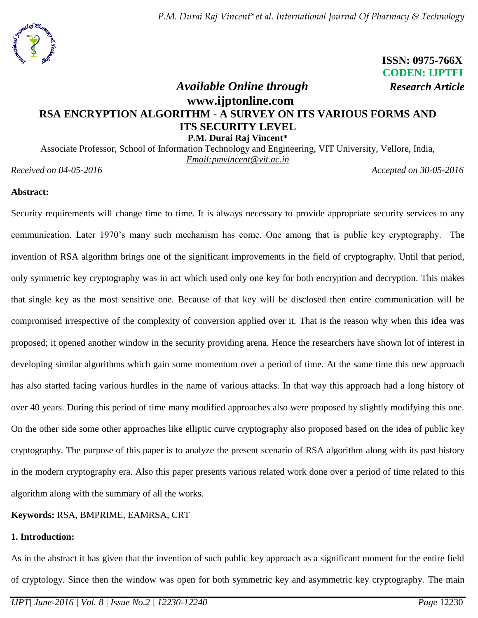

 **ISSN: 0975-766X CODEN: IJPTFI**

# *Available Online through Research Article* **www.ijptonline.com RSA ENCRYPTION ALGORITHM - A SURVEY ON ITS VARIOUS FORMS AND ITS SECURITY LEVEL P.M. Durai Raj Vincent\***

Associate Professor, School of Information Technology and Engineering, VIT University, Vellore, India, *Email:pmvincent@vit.ac.in*

*Received on 04-05-2016 Accepted on 30-05-2016*

## **Abstract:**

Security requirements will change time to time. It is always necessary to provide appropriate security services to any communication. Later 1970's many such mechanism has come. One among that is public key cryptography. The invention of RSA algorithm brings one of the significant improvements in the field of cryptography. Until that period, only symmetric key cryptography was in act which used only one key for both encryption and decryption. This makes that single key as the most sensitive one. Because of that key will be disclosed then entire communication will be compromised irrespective of the complexity of conversion applied over it. That is the reason why when this idea was proposed; it opened another window in the security providing arena. Hence the researchers have shown lot of interest in developing similar algorithms which gain some momentum over a period of time. At the same time this new approach has also started facing various hurdles in the name of various attacks. In that way this approach had a long history of over 40 years. During this period of time many modified approaches also were proposed by slightly modifying this one. On the other side some other approaches like elliptic curve cryptography also proposed based on the idea of public key cryptography. The purpose of this paper is to analyze the present scenario of RSA algorithm along with its past history in the modern cryptography era. Also this paper presents various related work done over a period of time related to this algorithm along with the summary of all the works.

## **Keywords:** RSA, BMPRIME, EAMRSA, CRT

## **1. Introduction:**

As in the abstract it has given that the invention of such public key approach as a significant moment for the entire field of cryptology. Since then the window was open for both symmetric key and asymmetric key cryptography. The main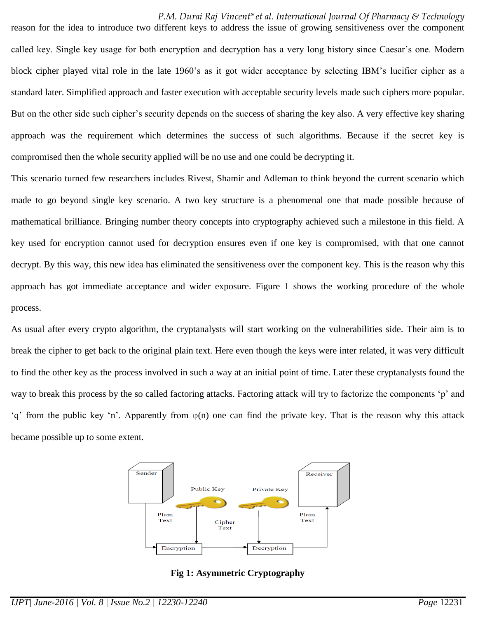reason for the idea to introduce two different keys to address the issue of growing sensitiveness over the component called key. Single key usage for both encryption and decryption has a very long history since Caesar's one. Modern block cipher played vital role in the late 1960's as it got wider acceptance by selecting IBM's lucifier cipher as a standard later. Simplified approach and faster execution with acceptable security levels made such ciphers more popular. But on the other side such cipher's security depends on the success of sharing the key also. A very effective key sharing approach was the requirement which determines the success of such algorithms. Because if the secret key is compromised then the whole security applied will be no use and one could be decrypting it.

This scenario turned few researchers includes Rivest, Shamir and Adleman to think beyond the current scenario which made to go beyond single key scenario. A two key structure is a phenomenal one that made possible because of mathematical brilliance. Bringing number theory concepts into cryptography achieved such a milestone in this field. A key used for encryption cannot used for decryption ensures even if one key is compromised, with that one cannot decrypt. By this way, this new idea has eliminated the sensitiveness over the component key. This is the reason why this approach has got immediate acceptance and wider exposure. Figure 1 shows the working procedure of the whole process.

As usual after every crypto algorithm, the cryptanalysts will start working on the vulnerabilities side. Their aim is to break the cipher to get back to the original plain text. Here even though the keys were inter related, it was very difficult to find the other key as the process involved in such a way at an initial point of time. Later these cryptanalysts found the way to break this process by the so called factoring attacks. Factoring attack will try to factorize the components 'p' and 'q' from the public key 'n'. Apparently from  $\varphi(n)$  one can find the private key. That is the reason why this attack became possible up to some extent.



**Fig 1: Asymmetric Cryptography**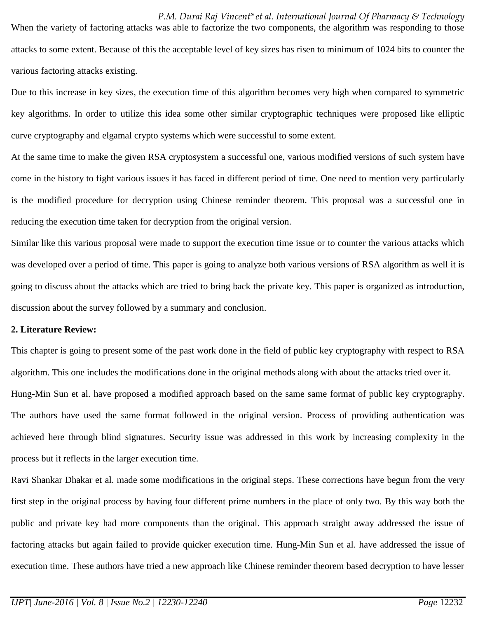*P.M. Durai Raj Vincent\*et al. International Journal Of Pharmacy & Technology* When the variety of factoring attacks was able to factorize the two components, the algorithm was responding to those attacks to some extent. Because of this the acceptable level of key sizes has risen to minimum of 1024 bits to counter the various factoring attacks existing.

Due to this increase in key sizes, the execution time of this algorithm becomes very high when compared to symmetric key algorithms. In order to utilize this idea some other similar cryptographic techniques were proposed like elliptic curve cryptography and elgamal crypto systems which were successful to some extent.

At the same time to make the given RSA cryptosystem a successful one, various modified versions of such system have come in the history to fight various issues it has faced in different period of time. One need to mention very particularly is the modified procedure for decryption using Chinese reminder theorem. This proposal was a successful one in reducing the execution time taken for decryption from the original version.

Similar like this various proposal were made to support the execution time issue or to counter the various attacks which was developed over a period of time. This paper is going to analyze both various versions of RSA algorithm as well it is going to discuss about the attacks which are tried to bring back the private key. This paper is organized as introduction, discussion about the survey followed by a summary and conclusion.

## **2. Literature Review:**

This chapter is going to present some of the past work done in the field of public key cryptography with respect to RSA algorithm. This one includes the modifications done in the original methods along with about the attacks tried over it. Hung-Min Sun et al. have proposed a modified approach based on the same same format of public key cryptography. The authors have used the same format followed in the original version. Process of providing authentication was achieved here through blind signatures. Security issue was addressed in this work by increasing complexity in the process but it reflects in the larger execution time.

Ravi Shankar Dhakar et al. made some modifications in the original steps. These corrections have begun from the very first step in the original process by having four different prime numbers in the place of only two. By this way both the public and private key had more components than the original. This approach straight away addressed the issue of factoring attacks but again failed to provide quicker execution time. Hung-Min Sun et al. have addressed the issue of execution time. These authors have tried a new approach like Chinese reminder theorem based decryption to have lesser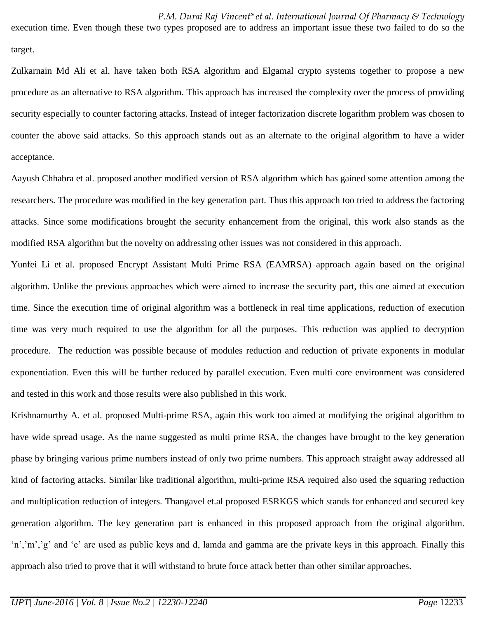execution time. Even though these two types proposed are to address an important issue these two failed to do so the target.

Zulkarnain Md Ali et al. have taken both RSA algorithm and Elgamal crypto systems together to propose a new procedure as an alternative to RSA algorithm. This approach has increased the complexity over the process of providing security especially to counter factoring attacks. Instead of integer factorization discrete logarithm problem was chosen to counter the above said attacks. So this approach stands out as an alternate to the original algorithm to have a wider acceptance.

Aayush Chhabra et al. proposed another modified version of RSA algorithm which has gained some attention among the researchers. The procedure was modified in the key generation part. Thus this approach too tried to address the factoring attacks. Since some modifications brought the security enhancement from the original, this work also stands as the modified RSA algorithm but the novelty on addressing other issues was not considered in this approach.

Yunfei Li et al. proposed Encrypt Assistant Multi Prime RSA (EAMRSA) approach again based on the original algorithm. Unlike the previous approaches which were aimed to increase the security part, this one aimed at execution time. Since the execution time of original algorithm was a bottleneck in real time applications, reduction of execution time was very much required to use the algorithm for all the purposes. This reduction was applied to decryption procedure. The reduction was possible because of modules reduction and reduction of private exponents in modular exponentiation. Even this will be further reduced by parallel execution. Even multi core environment was considered and tested in this work and those results were also published in this work.

[Krishnamurthy](http://www.scopus.com/authid/detail.url?origin=resultslist&authorId=7005516147&zone=) A. et al. proposed Multi-prime RSA, again this work too aimed at modifying the original algorithm to have wide spread usage. As the name suggested as multi prime RSA, the changes have brought to the key generation phase by bringing various prime numbers instead of only two prime numbers. This approach straight away addressed all kind of factoring attacks. Similar like traditional algorithm, multi-prime RSA required also used the squaring reduction and multiplication reduction of integers. Thangavel et.al proposed ESRKGS which stands for enhanced and secured key generation algorithm. The key generation part is enhanced in this proposed approach from the original algorithm. 'n','m','g' and 'e' are used as public keys and d, lamda and gamma are the private keys in this approach. Finally this approach also tried to prove that it will withstand to brute force attack better than other similar approaches.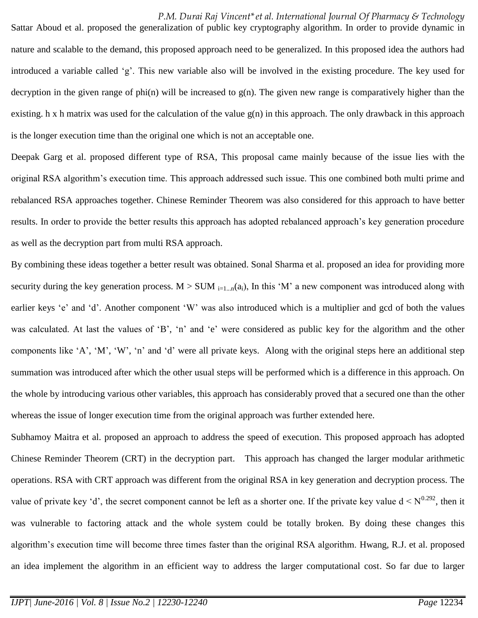Sattar Aboud et al. proposed the generalization of public key cryptography algorithm. In order to provide dynamic in nature and scalable to the demand, this proposed approach need to be generalized. In this proposed idea the authors had introduced a variable called 'g'. This new variable also will be involved in the existing procedure. The key used for decryption in the given range of phi(n) will be increased to  $g(n)$ . The given new range is comparatively higher than the existing. h x h matrix was used for the calculation of the value  $g(n)$  in this approach. The only drawback in this approach is the longer execution time than the original one which is not an acceptable one.

Deepak Garg et al. proposed different type of RSA, This proposal came mainly because of the issue lies with the original RSA algorithm's execution time. This approach addressed such issue. This one combined both multi prime and rebalanced RSA approaches together. Chinese Reminder Theorem was also considered for this approach to have better results. In order to provide the better results this approach has adopted rebalanced approach's key generation procedure as well as the decryption part from multi RSA approach.

By combining these ideas together a better result was obtained. Sonal Sharma et al. proposed an idea for providing more security during the key generation process.  $M > SUM$   $_{i=1...n}(a_i)$ , In this 'M' a new component was introduced along with earlier keys 'e' and 'd'. Another component 'W' was also introduced which is a multiplier and gcd of both the values was calculated. At last the values of 'B', 'n' and 'e' were considered as public key for the algorithm and the other components like 'A', 'M', 'W', 'n' and 'd' were all private keys. Along with the original steps here an additional step summation was introduced after which the other usual steps will be performed which is a difference in this approach. On the whole by introducing various other variables, this approach has considerably proved that a secured one than the other whereas the issue of longer execution time from the original approach was further extended here.

[Subhamoy](http://link.springer.com/search?facet-author=%22Subhamoy+Maitra%22) Maitra et al. proposed an approach to address the speed of execution. This proposed approach has adopted Chinese Reminder Theorem (CRT) in the decryption part. This approach has changed the larger modular arithmetic operations. RSA with CRT approach was different from the original RSA in key generation and decryption process. The value of private key 'd', the secret component cannot be left as a shorter one. If the private key value  $d < N^{0.292}$ , then it was vulnerable to factoring attack and the whole system could be totally broken. By doing these changes this algorithm's execution time will become three times faster than the original RSA algorithm. [Hwang, R.J.](http://www.scopus.com/authid/detail.url?origin=resultslist&authorId=7103382308&zone=) et al. proposed an idea implement the algorithm in an efficient way to address the larger computational cost. So far due to larger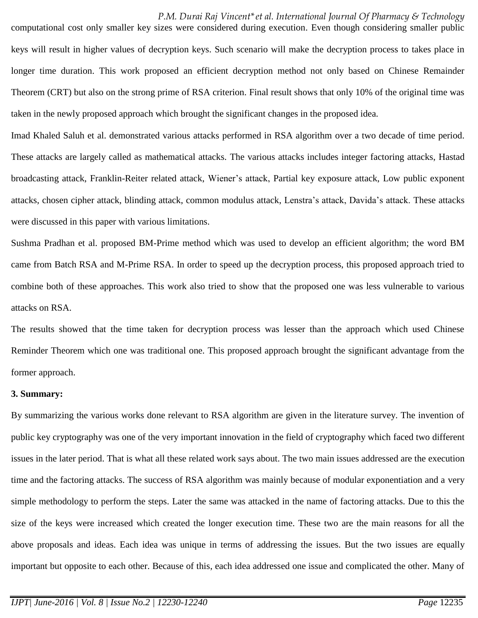computational cost only smaller key sizes were considered during execution. Even though considering smaller public keys will result in higher values of decryption keys. Such scenario will make the decryption process to takes place in longer time duration. This work proposed an efficient decryption method not only based on Chinese Remainder Theorem (CRT) but also on the strong prime of RSA criterion. Final result shows that only 10% of the original time was taken in the newly proposed approach which brought the significant changes in the proposed idea.

Imad Khaled Saluh et al. demonstrated various attacks performed in RSA algorithm over a two decade of time period. These attacks are largely called as mathematical attacks. The various attacks includes integer factoring attacks, Hastad broadcasting attack, Franklin-Reiter related attack, Wiener's attack, Partial key exposure attack, Low public exponent attacks, chosen cipher attack, blinding attack, common modulus attack, Lenstra's attack, Davida's attack. These attacks were discussed in this paper with various limitations.

Sushma Pradhan et al. proposed BM-Prime method which was used to develop an efficient algorithm; the word BM came from Batch RSA and M-Prime RSA. In order to speed up the decryption process, this proposed approach tried to combine both of these approaches. This work also tried to show that the proposed one was less vulnerable to various attacks on RSA.

The results showed that the time taken for decryption process was lesser than the approach which used Chinese Reminder Theorem which one was traditional one. This proposed approach brought the significant advantage from the former approach.

### **3. Summary:**

By summarizing the various works done relevant to RSA algorithm are given in the literature survey. The invention of public key cryptography was one of the very important innovation in the field of cryptography which faced two different issues in the later period. That is what all these related work says about. The two main issues addressed are the execution time and the factoring attacks. The success of RSA algorithm was mainly because of modular exponentiation and a very simple methodology to perform the steps. Later the same was attacked in the name of factoring attacks. Due to this the size of the keys were increased which created the longer execution time. These two are the main reasons for all the above proposals and ideas. Each idea was unique in terms of addressing the issues. But the two issues are equally important but opposite to each other. Because of this, each idea addressed one issue and complicated the other. Many of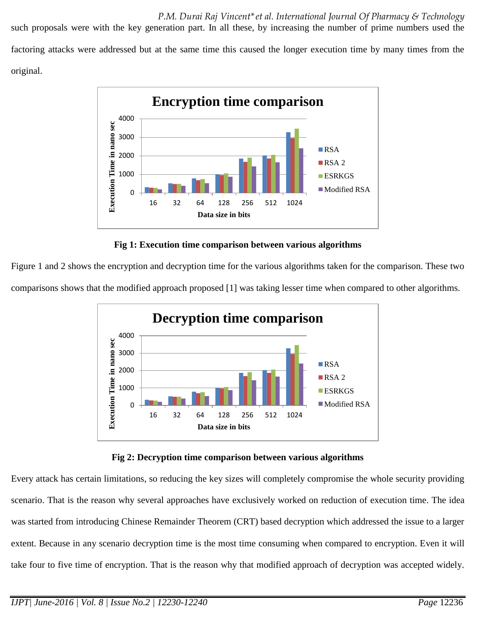such proposals were with the key generation part. In all these, by increasing the number of prime numbers used the factoring attacks were addressed but at the same time this caused the longer execution time by many times from the original.



**Fig 1: Execution time comparison between various algorithms**

Figure 1 and 2 shows the encryption and decryption time for the various algorithms taken for the comparison. These two comparisons shows that the modified approach proposed [1] was taking lesser time when compared to other algorithms.





Every attack has certain limitations, so reducing the key sizes will completely compromise the whole security providing scenario. That is the reason why several approaches have exclusively worked on reduction of execution time. The idea was started from introducing Chinese Remainder Theorem (CRT) based decryption which addressed the issue to a larger extent. Because in any scenario decryption time is the most time consuming when compared to encryption. Even it will take four to five time of encryption. That is the reason why that modified approach of decryption was accepted widely.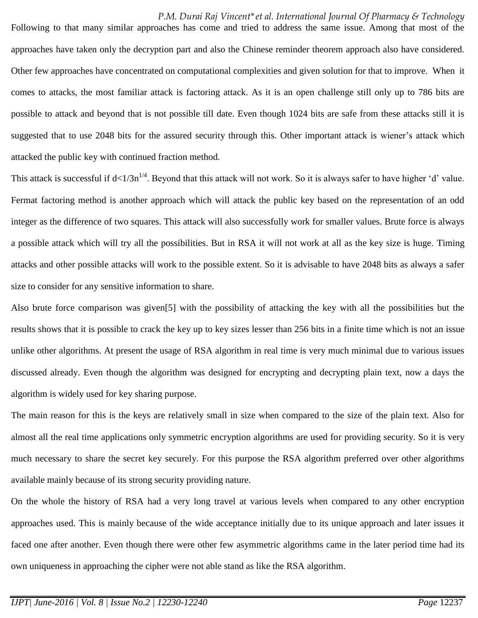Following to that many similar approaches has come and tried to address the same issue. Among that most of the approaches have taken only the decryption part and also the Chinese reminder theorem approach also have considered. Other few approaches have concentrated on computational complexities and given solution for that to improve. When it comes to attacks, the most familiar attack is factoring attack. As it is an open challenge still only up to 786 bits are possible to attack and beyond that is not possible till date. Even though 1024 bits are safe from these attacks still it is suggested that to use 2048 bits for the assured security through this. Other important attack is wiener's attack which attacked the public key with continued fraction method.

This attack is successful if  $d \lt 1/3n^{1/4}$ . Beyond that this attack will not work. So it is always safer to have higher 'd' value. Fermat factoring method is another approach which will attack the public key based on the representation of an odd integer as the difference of two squares. This attack will also successfully work for smaller values. Brute force is always a possible attack which will try all the possibilities. But in RSA it will not work at all as the key size is huge. Timing attacks and other possible attacks will work to the possible extent. So it is advisable to have 2048 bits as always a safer size to consider for any sensitive information to share.

Also brute force comparison was given[5] with the possibility of attacking the key with all the possibilities but the results shows that it is possible to crack the key up to key sizes lesser than 256 bits in a finite time which is not an issue unlike other algorithms. At present the usage of RSA algorithm in real time is very much minimal due to various issues discussed already. Even though the algorithm was designed for encrypting and decrypting plain text, now a days the algorithm is widely used for key sharing purpose.

The main reason for this is the keys are relatively small in size when compared to the size of the plain text. Also for almost all the real time applications only symmetric encryption algorithms are used for providing security. So it is very much necessary to share the secret key securely. For this purpose the RSA algorithm preferred over other algorithms available mainly because of its strong security providing nature.

On the whole the history of RSA had a very long travel at various levels when compared to any other encryption approaches used. This is mainly because of the wide acceptance initially due to its unique approach and later issues it faced one after another. Even though there were other few asymmetric algorithms came in the later period time had its own uniqueness in approaching the cipher were not able stand as like the RSA algorithm.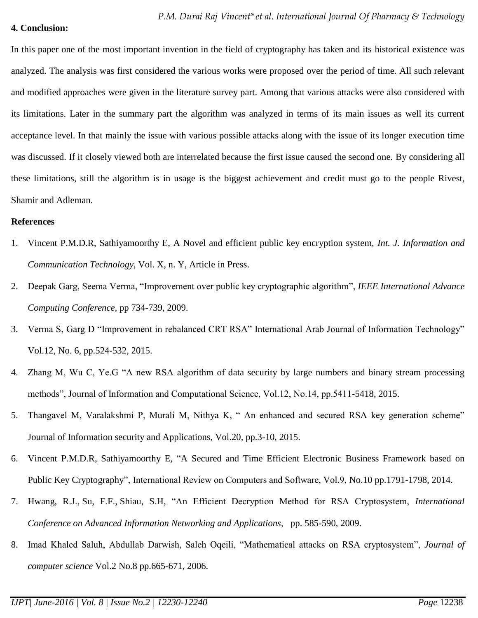### **4. Conclusion:**

In this paper one of the most important invention in the field of cryptography has taken and its historical existence was analyzed. The analysis was first considered the various works were proposed over the period of time. All such relevant and modified approaches were given in the literature survey part. Among that various attacks were also considered with its limitations. Later in the summary part the algorithm was analyzed in terms of its main issues as well its current acceptance level. In that mainly the issue with various possible attacks along with the issue of its longer execution time was discussed. If it closely viewed both are interrelated because the first issue caused the second one. By considering all these limitations, still the algorithm is in usage is the biggest achievement and credit must go to the people Rivest, Shamir and Adleman.

#### **References**

- 1. Vincent P.M.D.R, Sathiyamoorthy E, A Novel and efficient public key encryption system, *Int. J. Information and Communication Technology,* Vol. X, n. Y, Article in Press.
- 2. Deepak Garg, Seema Verma, "Improvement over public key cryptographic algorithm", *IEEE International Advance Computing Conference,* pp 734-739, 2009.
- 3. Verma S, Garg D "Improvement in rebalanced CRT RSA" International Arab Journal of Information Technology" Vol.12, No. 6, pp.524-532, 2015.
- 4. Zhang M, Wu C, Ye.G "A new RSA algorithm of data security by large numbers and binary stream processing methods", Journal of Information and Computational Science, Vol.12, No.14, pp.5411-5418, 2015.
- 5. Thangavel M, Varalakshmi P, Murali M, Nithya K, " An enhanced and secured RSA key generation scheme" Journal of Information security and Applications, Vol.20, pp.3-10, 2015.
- 6. Vincent P.M.D.R, Sathiyamoorthy E, "A Secured and Time Efficient Electronic Business Framework based on Public Key Cryptography", International Review on Computers and Software, Vol.9, No.10 pp.1791-1798, 2014.
- 7. [Hwang, R.J.,](http://www.scopus.com/authid/detail.url?origin=resultslist&authorId=7103382308&zone=) [Su, F.F.,](http://www.scopus.com/authid/detail.url?origin=resultslist&authorId=7102864918&zone=) [Shiau, S.H,](http://www.scopus.com/authid/detail.url?origin=resultslist&authorId=7005766537&zone=) "An Efficient Decryption Method for RSA Cryptosystem, *International Conference on Advanced Information Networking and Applications,* pp. 585-590, 2009.
- 8. Imad Khaled Saluh, Abdullab Darwish, Saleh Oqeili, "Mathematical attacks on RSA cryptosystem", *Journal of computer science* Vol.2 No.8 pp.665-671, 2006.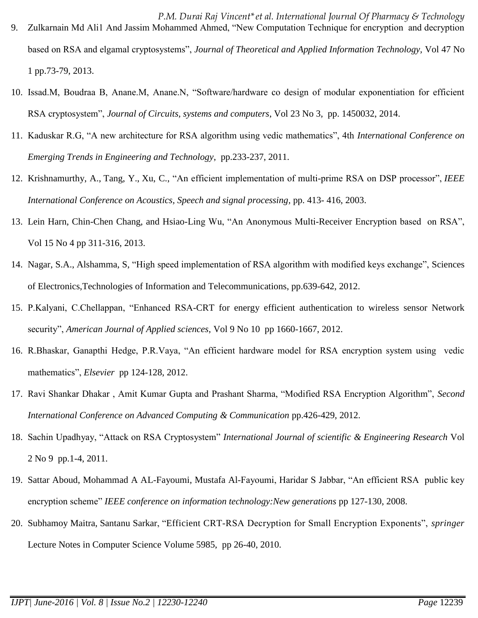- *P.M. Durai Raj Vincent\*et al. International Journal Of Pharmacy & Technology* 9. Zulkarnain Md Ali1 And Jassim Mohammed Ahmed, "New Computation Technique for encryption and decryption based on RSA and elgamal cryptosystems", *Journal of Theoretical and Applied Information Technology,* Vol 47 No 1 pp.73-79, 2013.
- 10. Issad.M, Boudraa B, Anane.M, Anane.N, "Software/hardware co design of modular exponentiation for efficient RSA cryptosystem", *Journal of Circuits, systems and computers*, Vol 23 No 3, pp. 1450032, 2014.
- 11. Kaduskar R.G, "A new architecture for RSA algorithm using vedic mathematics", 4th *International Conference on Emerging Trends in Engineering and Technology*, pp.233-237, 2011.
- 12. [Krishnamurthy, A.,](http://www.scopus.com/authid/detail.url?origin=resultslist&authorId=7005516147&zone=) [Tang, Y.,](http://www.scopus.com/authid/detail.url?origin=resultslist&authorId=7404592596&zone=) [Xu, C.,](http://www.scopus.com/authid/detail.url?origin=resultslist&authorId=7404180900&zone=) "An efficient implementation of multi-prime RSA on DSP processor", *[IEEE](http://www.scopus.com/source/sourceInfo.url?sourceId=110544&origin=resultslist)  [International Conference on Acoustics, Speech and signal processing,](http://www.scopus.com/source/sourceInfo.url?sourceId=110544&origin=resultslist)* pp. 413- 416, 2003.
- 13. Lein Harn, Chin-Chen Chang, and Hsiao-Ling Wu, "An Anonymous Multi-Receiver Encryption based on RSA", Vol 15 No 4 pp 311-316, 2013.
- 14. [Nagar, S.A.,](http://www.scopus.com/authid/detail.url?origin=resultslist&authorId=55638623000&zone=) [Alshamma, S,](http://www.scopus.com/authid/detail.url?origin=resultslist&authorId=55638475600&zone=) "High speed implementation of RSA algorithm with modified keys exchange", [Sciences](http://ieeexplore.ieee.org/xpl/mostRecentIssue.jsp?punumber=6475437)  [of Electronics,Technologies of Information and Telecommunications, pp.639-642, 2012.](http://ieeexplore.ieee.org/xpl/mostRecentIssue.jsp?punumber=6475437)
- 15. P.Kalyani, C.Chellappan, "Enhanced RSA-CRT for energy efficient authentication to wireless sensor Network security", *American Journal of Applied sciences*, Vol 9 No 10 pp 1660-1667, 2012.
- 16. R.Bhaskar, Ganapthi Hedge, P.R.Vaya, "An efficient hardware model for RSA encryption system using vedic mathematics", *Elsevier* pp 124-128, 2012.
- 17. Ravi Shankar Dhakar , Amit Kumar Gupta and Prashant Sharma, "Modified RSA Encryption Algorithm", *Second International Conference on Advanced Computing & Communication* pp.426-429, 2012.
- 18. Sachin Upadhyay, "Attack on RSA Cryptosystem" *International Journal of scientific & Engineering Research* Vol 2 No 9 pp.1-4, 2011.
- 19. Sattar Aboud, Mohammad A AL-Fayoumi, Mustafa Al-Fayoumi, Haridar S Jabbar, "An efficient RSA public key encryption scheme" *IEEE conference on information technology:New generations* pp 127-130, 2008.
- 20. [Subhamoy](http://link.springer.com/search?facet-author=%22Subhamoy+Maitra%22) Maitra, [Santanu](http://link.springer.com/search?facet-author=%22Santanu+Sarkar%22) Sarkar, "Efficient CRT-RSA Decryption for Small Encryption Exponents", *springer*  Lecture Notes in [Computer](http://link.springer.com/bookseries/558) Science Volume 5985, pp 26-40, 2010.